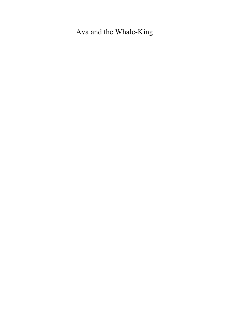Ava and the Whale-King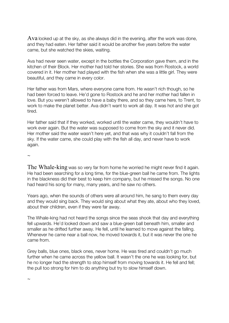$A$ va looked up at the sky, as she always did in the evening, after the work was done, and they had eaten. Her father said it would be another five years before the water came, but she watched the skies, waiting.

Ava had never seen water, except in the bottles the Corporation gave them, and in the kitchen of their Block. Her mother had told her stories. She was from Rostock, a world covered in it. Her mother had played with the fish when she was a little girl. They were beautiful, and they came in every color.

Her father was from Mars, where everyone came from. He wasn't rich though, so he had been forced to leave. He'd gone to Rostock and he and her mother had fallen in love. But you weren't allowed to have a baby there, and so they came here, to Trent, to work to make the planet better. Ava didn't want to work all day. It was hot and she got tired.

Her father said that if they worked, worked until the water came, they wouldn't have to work ever again. But the water was supposed to come from the sky and it never did. Her mother said the water wasn't here yet, and that was why it couldn't fall from the sky. If the water came, she could play with the fish all day, and never have to work again.

 $\sim$ 

The Whale-king was so very far from home he worried he might never find it again. He had been searching for a long time, for the blue-green ball he came from. The lights in the blackness did their best to keep him company, but he missed the songs. No one had heard his song for many, many years, and he saw no others.

Years ago, when the sounds of others were all around him, he sang to them every day and they would sing back. They would sing about what they ate, about who they loved, about their children, even if they were far away.

The Whale-king had not heard the songs since the seas shook that day and everything fell upwards. He'd looked down and saw a blue-green ball beneath him, smaller and smaller as he drifted further away. He fell, until he learned to move against the falling. Whenever he came near a ball now, he moved towards it, but it was never the one he came from.

Grey balls, blue ones, black ones, never home. He was tired and couldn't go much further when he came across the yellow ball. It wasn't the one he was looking for, but he no longer had the strength to stop himself from moving towards it. He fell and fell; the pull too strong for him to do anything but try to slow himself down.

 $\sim$